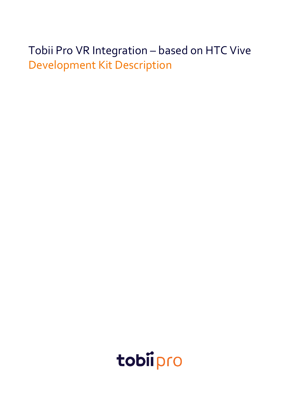# Tobii Pro VR Integration – based on HTC Vive Development Kit Description

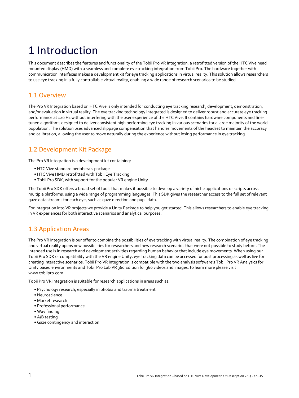# 1 Introduction

This document describes the features and functionality of the Tobii Pro VR Integration, a retrofitted version of the HTC Vive head mounted display (HMD) with a seamless and complete eye tracking integration from Tobii Pro. The hardware together with communication interfaces makes a development kit for eye tracking applications in virtual reality. This solution allows researchers to use eye tracking in a fully controllable virtual reality, enabling a wide range of research scenarios to be studied.

### 1.1 Overview

The Pro VR Integration based on HTC Vive is only intended for conducting eye tracking research, development, demonstration, and/or evaluation in virtual reality. The eye tracking technology integrated is designed to deliver robust and accurate eye tracking performance at 120 Hz without interfering with the user experience of the HTC Vive. It contains hardware components and finetuned algorithms designed to deliver consistent high performing eye tracking in various scenarios for a large majority of the world population. The solution uses advanced slippage compensation that handles movements of the headset to maintain the accuracy and calibration, allowing the user to move naturally during the experience without losing performance in eye tracking.

### 1.2 Development Kit Package

The Pro VR Integration is a development kit containing:

- HTC Vive standard peripherals package
- HTC Vive HMD retrofitted with Tobii Eye Tracking
- Tobii Pro SDK, with support for the popular VR engine Unity

The Tobii Pro SDK offers a broad set of tools that makes it possible to develop a variety of niche applications or scripts across multiple platforms, using a wide range of programming languages. This SDK gives the researcher access to the full set of relevant gaze data streams for each eye, such as gaze direction and pupil data.

For integration into VR projects we provide a Unity Package to help you get started. This allows researchers to enable eye tracking in VR experiences for both interactive scenarios and analytical purposes.

### 1.3 Application Areas

The Pro VR Integration is our offer to combine the possibilities of eye tracking with virtual reality. The combination of eye tracking and virtual reality opens new possibilities for researchers and new research scenarios that were not possible to study before. The intended use is in research and development activities regarding human behavior that include eye movements. When using our Tobii Pro SDK or compatibility with the VR engine Unity, eye tracking data can be accessed for post processing as well as live for creating interactive scenarios. Tobii Pro VR Integration is compatible with the two analysis software's Tobii Pro VR Analytics for Unity based environments and Tobii Pro Lab VR 360 Edition for 360 videos and images, to learn more please visit www.tobiipro.com

Tobii Pro VR Integration is suitable for research applications in areas such as:

- Psychology research, especially in phobia and trauma treatment
- Neuroscience
- Market research
- Professional performance
- Way finding
- A/B testing
- Gaze contingency and interaction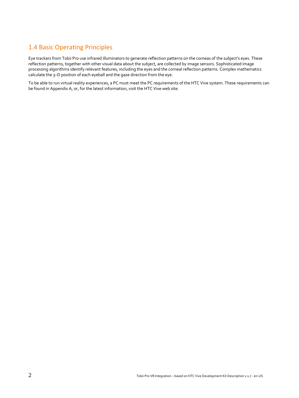### 1.4 Basic Operating Principles

Eye trackers from Tobii Pro use infrared illuminators to generate reflection patterns on the corneas of the subject's eyes. These reflection patterns, together with other visual data about the subject, are collected by image sensors. Sophisticated image processing algorithms identify relevant features, including the eyes and the corneal reflection patterns. Complex mathematics calculate the 3–D position of each eyeball and the gaze direction from the eye.

To be able to run virtual reality experiences, a PC must meet the PC requirements of the HTC Vive system. These requirements can be found in Appendix A, or, for the latest information, visit the HTC Vive web site.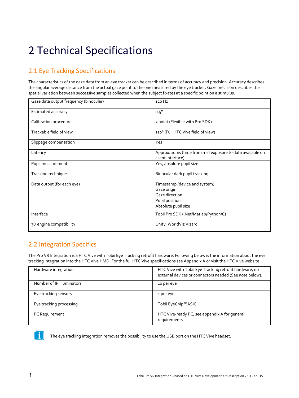# 2 Technical Specifications

### 2.1 Eye Tracking Specifications

The characteristics of the gaze data from an eye tracker can be described in terms of accuracy and precision. Accuracy describes the angular average distance from the actual gaze point to the one measured by the eye tracker. Gaze precision describes the spatial variation between successive samples collected when the subject fixates at a specific point on a stimulus.

| Gaze data output frequency (binocular) | $120$ Hz                                                                                                |
|----------------------------------------|---------------------------------------------------------------------------------------------------------|
| Estimated accuracy                     | $0.5^\circ$                                                                                             |
| Calibration procedure                  | 5 point (Flexible with Pro SDK)                                                                         |
| Trackable field of view                | 110° (Full HTC Vive field of view)                                                                      |
| Slippage compensation                  | Yes                                                                                                     |
| Latency                                | Approx. 10ms (time from mid exposure to data available on<br>client interface)                          |
| Pupil measurement                      | Yes, absolute pupil size                                                                                |
| Tracking technique                     | Binocular dark pupil tracking                                                                           |
| Data output (for each eye)             | Timestamp (device and system)<br>Gaze origin<br>Gaze direction<br>Pupil position<br>Absolute pupil size |
| Interface                              | Tobii Pro SDK (.Net/Matlab/Python/C)                                                                    |
| 3D engine compatibility                | Unity, WorldViz Vizard                                                                                  |

### 2.2 Integration Specifics

The Pro VR Integration is a HTC Vive with Tobii Eye Tracking retrofit hardware. Following below is the information about the eye tracking integration into the HTC Vive HMD. For the full HTC Vive specifications see Appendix A or visit the HTC Vive website.

| Hardware integration      | HTC Vive with Tobii Eye Tracking retrofit hardware, no<br>external devices or connectors needed (See note below). |
|---------------------------|-------------------------------------------------------------------------------------------------------------------|
| Number of IR illuminators | 10 per eye                                                                                                        |
| Eye tracking sensors      | 1 per eye                                                                                                         |
| Eye tracking processing   | Tobii EyeChip™ASIC                                                                                                |
| PC Requirement            | HTC Vive-ready PC, see appendix A for general<br>requirements                                                     |



The eye tracking integration removes the possibility to use the USB port on the HTC Vive headset.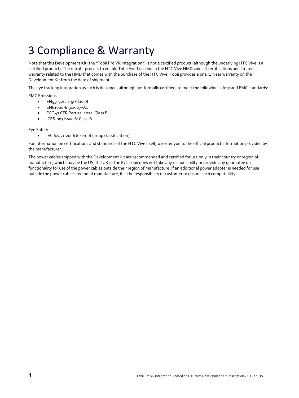## 3 Compliance & Warranty

Note that this Development Kit (the "Tobii Pro VR Integration") is not a certified product (although the underlying HTC Vive is a certified product). The retrofit process to enable Tobii Eye Tracking in the HTC Vive HMD void all certifications and limited warranty related to the HMD that comes with the purchase of the HTC Vive. Tobii provides a one (1) year warranty on the Development Kit from the date of shipment.

The eye tracking integration as such is designed, although not formally certified, to meet the following safety and EMC standards:

EMC Emissions

- EN55032:2015: Class B
- EN61000-6-3:2007+A1
- FCC 47 CFR Part 15: 2015: Class B
- ICES-003 Issue 6: Class B

#### Eye Safety

• IEC 62471:2006 (exempt group classification)

For information on certifications and standards of the HTC Vive itself, we refer you to the official product information provided by the manufacturer.

The power cables shipped with the Development Kit are recommended and certified for use only in their country or region of manufacture, which may be the US, the UK or the EU. Tobii does not take any responsibility or provide any guarantee on functionality for use of the power cables outside their region of manufacture. If an additional power adapter is needed for use outside the power cable's region of manufacture, it is the responsibility of customer to ensure such compatibility.